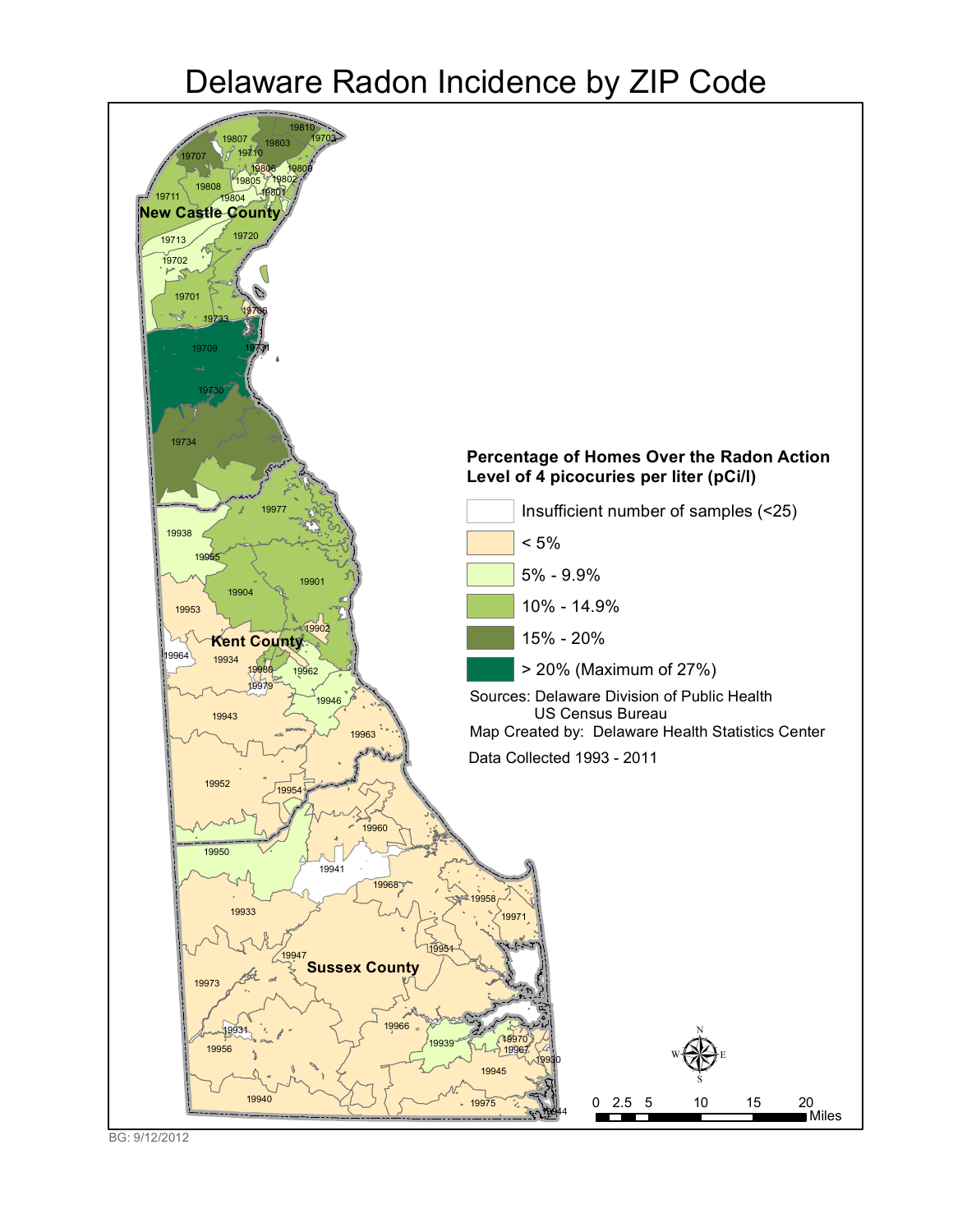# Delaware Radon Incidence by ZIP Code



BG: 9/12/2012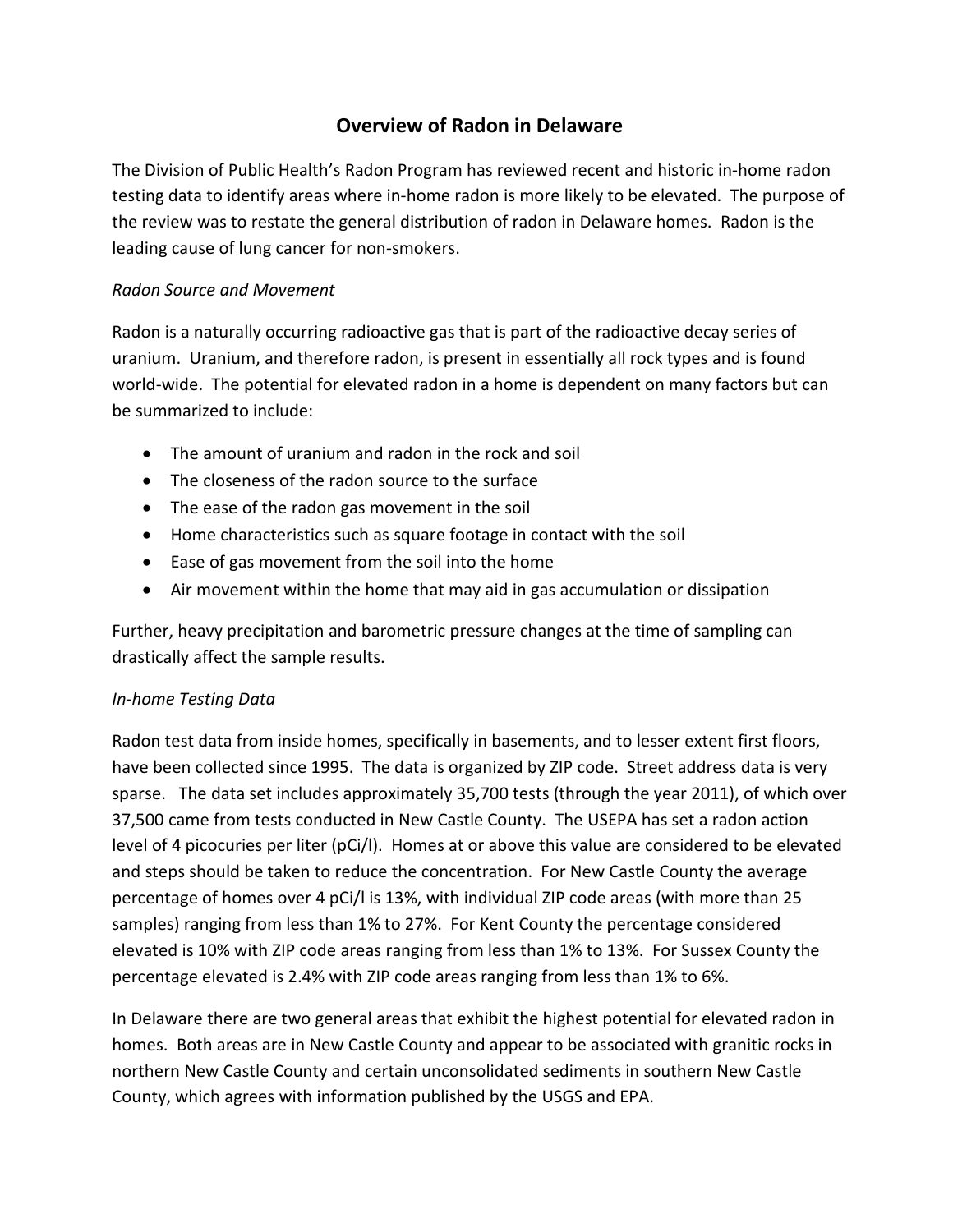### **Overview of Radon in Delaware**

The Division of Public Health's Radon Program has reviewed recent and historic in-home radon testing data to identify areas where in-home radon is more likely to be elevated. The purpose of the review was to restate the general distribution of radon in Delaware homes. Radon is the leading cause of lung cancer for non-smokers.

#### *Radon Source and Movement*

Radon is a naturally occurring radioactive gas that is part of the radioactive decay series of uranium. Uranium, and therefore radon, is present in essentially all rock types and is found world-wide. The potential for elevated radon in a home is dependent on many factors but can be summarized to include:

- The amount of uranium and radon in the rock and soil
- The closeness of the radon source to the surface
- The ease of the radon gas movement in the soil
- Home characteristics such as square footage in contact with the soil
- Ease of gas movement from the soil into the home
- Air movement within the home that may aid in gas accumulation or dissipation

Further, heavy precipitation and barometric pressure changes at the time of sampling can drastically affect the sample results.

#### *In-home Testing Data*

Radon test data from inside homes, specifically in basements, and to lesser extent first floors, have been collected since 1995. The data is organized by ZIP code. Street address data is very sparse. The data set includes approximately 35,700 tests (through the year 2011), of which over 37,500 came from tests conducted in New Castle County. The USEPA has set a radon action level of 4 picocuries per liter (pCi/l). Homes at or above this value are considered to be elevated and steps should be taken to reduce the concentration. For New Castle County the average percentage of homes over 4 pCi/l is 13%, with individual ZIP code areas (with more than 25 samples) ranging from less than 1% to 27%. For Kent County the percentage considered elevated is 10% with ZIP code areas ranging from less than 1% to 13%. For Sussex County the percentage elevated is 2.4% with ZIP code areas ranging from less than 1% to 6%.

In Delaware there are two general areas that exhibit the highest potential for elevated radon in homes. Both areas are in New Castle County and appear to be associated with granitic rocks in northern New Castle County and certain unconsolidated sediments in southern New Castle County, which agrees with information published by the USGS and EPA.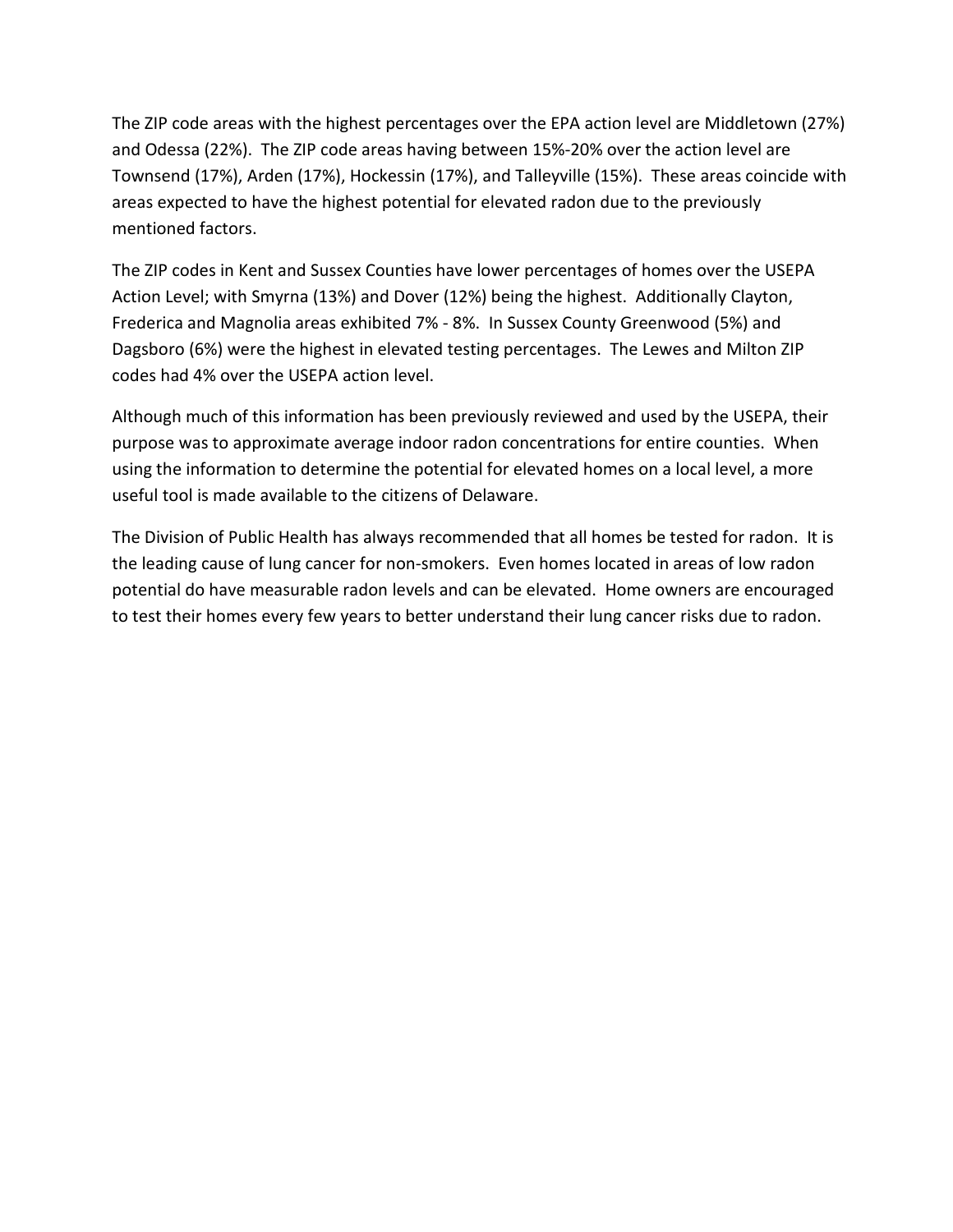The ZIP code areas with the highest percentages over the EPA action level are Middletown (27%) and Odessa (22%). The ZIP code areas having between 15%-20% over the action level are Townsend (17%), Arden (17%), Hockessin (17%), and Talleyville (15%). These areas coincide with areas expected to have the highest potential for elevated radon due to the previously mentioned factors.

The ZIP codes in Kent and Sussex Counties have lower percentages of homes over the USEPA Action Level; with Smyrna (13%) and Dover (12%) being the highest. Additionally Clayton, Frederica and Magnolia areas exhibited 7% - 8%. In Sussex County Greenwood (5%) and Dagsboro (6%) were the highest in elevated testing percentages. The Lewes and Milton ZIP codes had 4% over the USEPA action level.

Although much of this information has been previously reviewed and used by the USEPA, their purpose was to approximate average indoor radon concentrations for entire counties. When using the information to determine the potential for elevated homes on a local level, a more useful tool is made available to the citizens of Delaware.

The Division of Public Health has always recommended that all homes be tested for radon. It is the leading cause of lung cancer for non-smokers. Even homes located in areas of low radon potential do have measurable radon levels and can be elevated. Home owners are encouraged to test their homes every few years to better understand their lung cancer risks due to radon.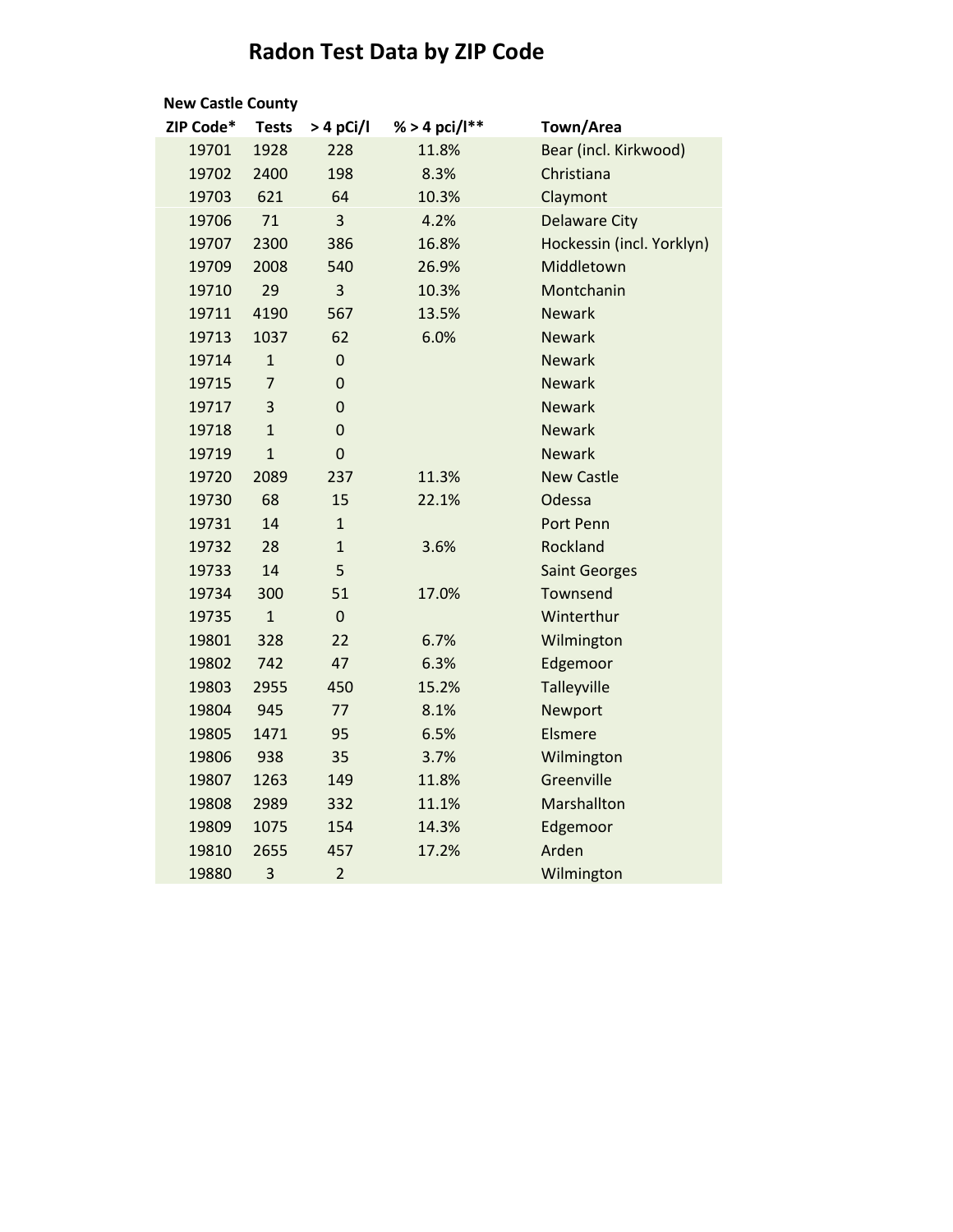## **Radon Test Data by ZIP Code**

| <b>New Castle County</b> |                |                  |                     |                           |  |  |  |
|--------------------------|----------------|------------------|---------------------|---------------------------|--|--|--|
| ZIP Code*                | <b>Tests</b>   | $>4$ pCi/l       | % > 4 pci/ $I^{**}$ | Town/Area                 |  |  |  |
| 19701                    | 1928           | 228              | 11.8%               | Bear (incl. Kirkwood)     |  |  |  |
| 19702                    | 2400           | 198              | 8.3%                | Christiana                |  |  |  |
| 19703                    | 621            | 64               | 10.3%               | Claymont                  |  |  |  |
| 19706                    | 71             | 3                | 4.2%                | <b>Delaware City</b>      |  |  |  |
| 19707                    | 2300           | 386              | 16.8%               | Hockessin (incl. Yorklyn) |  |  |  |
| 19709                    | 2008           | 540              | 26.9%               | Middletown                |  |  |  |
| 19710                    | 29             | 3                | 10.3%               | Montchanin                |  |  |  |
| 19711                    | 4190           | 567              | 13.5%               | <b>Newark</b>             |  |  |  |
| 19713                    | 1037           | 62               | 6.0%                | <b>Newark</b>             |  |  |  |
| 19714                    | $\mathbf{1}$   | $\mathbf 0$      |                     | <b>Newark</b>             |  |  |  |
| 19715                    | $\overline{7}$ | $\boldsymbol{0}$ |                     | <b>Newark</b>             |  |  |  |
| 19717                    | 3              | $\mathbf 0$      |                     | <b>Newark</b>             |  |  |  |
| 19718                    | $\mathbf{1}$   | $\mathbf 0$      |                     | <b>Newark</b>             |  |  |  |
| 19719                    | $\mathbf{1}$   | $\mathbf 0$      |                     | <b>Newark</b>             |  |  |  |
| 19720                    | 2089           | 237              | 11.3%               | <b>New Castle</b>         |  |  |  |
| 19730                    | 68             | 15               | 22.1%               | Odessa                    |  |  |  |
| 19731                    | 14             | $\overline{1}$   |                     | <b>Port Penn</b>          |  |  |  |
| 19732                    | 28             | $\mathbf{1}$     | 3.6%                | Rockland                  |  |  |  |
| 19733                    | 14             | 5                |                     | <b>Saint Georges</b>      |  |  |  |
| 19734                    | 300            | 51               | 17.0%               | Townsend                  |  |  |  |
| 19735                    | $\mathbf{1}$   | $\overline{0}$   |                     | Winterthur                |  |  |  |
| 19801                    | 328            | 22               | 6.7%                | Wilmington                |  |  |  |
| 19802                    | 742            | 47               | 6.3%                | Edgemoor                  |  |  |  |
| 19803                    | 2955           | 450              | 15.2%               | Talleyville               |  |  |  |
| 19804                    | 945            | 77               | 8.1%                | Newport                   |  |  |  |
| 19805                    | 1471           | 95               | 6.5%                | Elsmere                   |  |  |  |
| 19806                    | 938            | 35               | 3.7%                | Wilmington                |  |  |  |
| 19807                    | 1263           | 149              | 11.8%               | Greenville                |  |  |  |
| 19808                    | 2989           | 332              | 11.1%               | Marshallton               |  |  |  |
| 19809                    | 1075           | 154              | 14.3%               | Edgemoor                  |  |  |  |
| 19810                    | 2655           | 457              | 17.2%               | Arden                     |  |  |  |
| 19880                    | 3              | $\overline{2}$   |                     | Wilmington                |  |  |  |